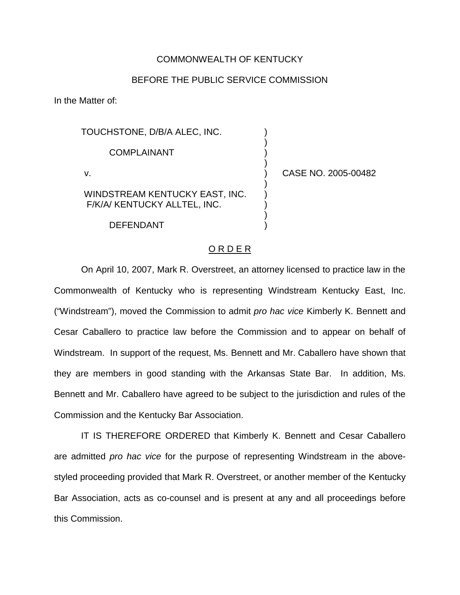## COMMONWEALTH OF KENTUCKY

## BEFORE THE PUBLIC SERVICE COMMISSION

) ) ) )

) ) ) ) )

In the Matter of:

TOUCHSTONE, D/B/A ALEC, INC. COMPLAINANT v. WINDSTREAM KENTUCKY EAST, INC.

F/K/A/ KENTUCKY ALLTEL, INC.

DEFENDANT

) CASE NO. 2005-00482

## O R D E R

On April 10, 2007, Mark R. Overstreet, an attorney licensed to practice law in the Commonwealth of Kentucky who is representing Windstream Kentucky East, Inc. ("Windstream"), moved the Commission to admit *pro hac vice* Kimberly K. Bennett and Cesar Caballero to practice law before the Commission and to appear on behalf of Windstream. In support of the request, Ms. Bennett and Mr. Caballero have shown that they are members in good standing with the Arkansas State Bar. In addition, Ms. Bennett and Mr. Caballero have agreed to be subject to the jurisdiction and rules of the Commission and the Kentucky Bar Association.

IT IS THEREFORE ORDERED that Kimberly K. Bennett and Cesar Caballero are admitted *pro hac vice* for the purpose of representing Windstream in the abovestyled proceeding provided that Mark R. Overstreet, or another member of the Kentucky Bar Association, acts as co-counsel and is present at any and all proceedings before this Commission.